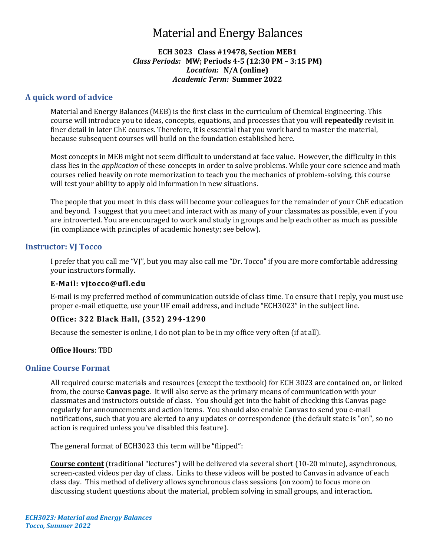# Material and Energy Balances

### **ECH 3023 Class #19478, Section MEB1** *Class Periods:* **MW; Periods 4-5 (12:30 PM – 3:15 PM)** *Location:* **N/A (online)** *Academic Term:* **Summer 2022**

# **A quick word of advice**

Material and Energy Balances (MEB) is the first class in the curriculum of Chemical Engineering. This course will introduce you to ideas, concepts, equations, and processes that you will **repeatedly** revisit in finer detail in later ChE courses. Therefore, it is essential that you work hard to master the material, because subsequent courses will build on the foundation established here.

Most concepts in MEB might not seem difficult to understand at face value. However, the difficulty in this class lies in the *application* of these concepts in order to solve problems. While your core science and math courses relied heavily on rote memorization to teach you the mechanics of problem-solving, this course will test your ability to apply old information in new situations.

The people that you meet in this class will become your colleagues for the remainder of your ChE education and beyond. I suggest that you meet and interact with as many of your classmates as possible, even if you are introverted. You are encouraged to work and study in groups and help each other as much as possible (in compliance with principles of academic honesty; see below).

# **Instructor: VJ Tocco**

I prefer that you call me "VJ", but you may also call me "Dr. Tocco" if you are more comfortable addressing your instructors formally.

# **E-Mail: [vjtocco@ufl.edu](mailto:vjtocco@ufl.edu)**

E-mail is my preferred method of communication outside of class time. To ensure that I reply, you must use proper e-mail etiquette, use your UF email address, and include "ECH3023" in the subject line.

# **Office: 322 Black Hall, (352) 294-1290**

Because the semester is online, I do not plan to be in my office very often (if at all).

#### **Office Hours**: TBD

#### **Online Course Format**

All required course materials and resources (except the textbook) for ECH 3023 are contained on, or linked from, the course **Canvas page**. It will also serve as the primary means of communication with your classmates and instructors outside of class. You should get into the habit of checking this Canvas page regularly for announcements and action items. You should also enable Canvas to send you e-mail notifications, such that you are alerted to any updates or correspondence (the default state is "on", so no action is required unless you've disabled this feature).

The general format of ECH3023 this term will be "flipped":

**Course content** (traditional "lectures") will be delivered via several short (10-20 minute), asynchronous, screen-casted videos per day of class. Links to these videos will be posted to Canvas in advance of each class day. This method of delivery allows synchronous class sessions (on zoom) to focus more on discussing student questions about the material, problem solving in small groups, and interaction.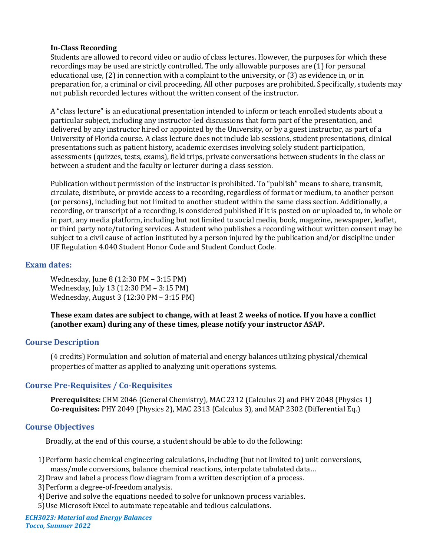## **In-Class Recording**

Students are allowed to record video or audio of class lectures. However, the purposes for which these recordings may be used are strictly controlled. The only allowable purposes are (1) for personal educational use, (2) in connection with a complaint to the university, or (3) as evidence in, or in preparation for, a criminal or civil proceeding. All other purposes are prohibited. Specifically, students may not publish recorded lectures without the written consent of the instructor.

A "class lecture" is an educational presentation intended to inform or teach enrolled students about a particular subject, including any instructor-led discussions that form part of the presentation, and delivered by any instructor hired or appointed by the University, or by a guest instructor, as part of a University of Florida course. A class lecture does not include lab sessions, student presentations, clinical presentations such as patient history, academic exercises involving solely student participation, assessments (quizzes, tests, exams), field trips, private conversations between students in the class or between a student and the faculty or lecturer during a class session.

Publication without permission of the instructor is prohibited. To "publish" means to share, transmit, circulate, distribute, or provide access to a recording, regardless of format or medium, to another person (or persons), including but not limited to another student within the same class section. Additionally, a recording, or transcript of a recording, is considered published if it is posted on or uploaded to, in whole or in part, any media platform, including but not limited to social media, book, magazine, newspaper, leaflet, or third party note/tutoring services. A student who publishes a recording without written consent may be subject to a civil cause of action instituted by a person injured by the publication and/or discipline under UF Regulation 4.040 Student Honor Code and Student Conduct Code.

# **Exam dates:**

Wednesday, June 8 (12:30 PM – 3:15 PM) Wednesday, July 13 (12:30 PM – 3:15 PM) Wednesday, August 3 (12:30 PM – 3:15 PM)

**These exam dates are subject to change, with at least 2 weeks of notice. If you have a conflict (another exam) during any of these times, please notify your instructor ASAP.**

# **Course Description**

(4 credits) Formulation and solution of material and energy balances utilizing physical/chemical properties of matter as applied to analyzing unit operations systems.

# **Course Pre-Requisites / Co-Requisites**

**Prerequisites:** CHM 2046 (General Chemistry), MAC 2312 (Calculus 2) and PHY 2048 (Physics 1) **Co-requisites:** PHY 2049 (Physics 2), MAC 2313 (Calculus 3), and MAP 2302 (Differential Eq.)

# **Course Objectives**

Broadly, at the end of this course, a student should be able to do the following:

- 1)Perform basic chemical engineering calculations, including (but not limited to) unit conversions, mass/mole conversions, balance chemical reactions, interpolate tabulated data…
- 2)Draw and label a process flow diagram from a written description of a process.
- 3)Perform a degree-of-freedom analysis.
- 4)Derive and solve the equations needed to solve for unknown process variables.
- 5)Use Microsoft Excel to automate repeatable and tedious calculations.

*ECH3023: Material and Energy Balances Tocco, Summer 2022*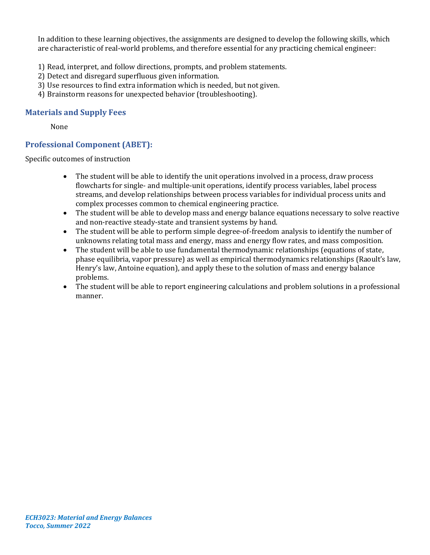In addition to these learning objectives, the assignments are designed to develop the following skills, which are characteristic of real-world problems, and therefore essential for any practicing chemical engineer:

- 1) Read, interpret, and follow directions, prompts, and problem statements.
- 2) Detect and disregard superfluous given information.
- 3) Use resources to find extra information which is needed, but not given.
- 4) Brainstorm reasons for unexpected behavior (troubleshooting).

# **Materials and Supply Fees**

None

# **Professional Component (ABET):**

Specific outcomes of instruction

- The student will be able to identify the unit operations involved in a process, draw process flowcharts for single- and multiple-unit operations, identify process variables, label process streams, and develop relationships between process variables for individual process units and complex processes common to chemical engineering practice.
- The student will be able to develop mass and energy balance equations necessary to solve reactive and non-reactive steady-state and transient systems by hand.
- The student will be able to perform simple degree-of-freedom analysis to identify the number of unknowns relating total mass and energy, mass and energy flow rates, and mass composition.
- The student will be able to use fundamental thermodynamic relationships (equations of state, phase equilibria, vapor pressure) as well as empirical thermodynamics relationships (Raoult's law, Henry's law, Antoine equation), and apply these to the solution of mass and energy balance problems.
- The student will be able to report engineering calculations and problem solutions in a professional manner.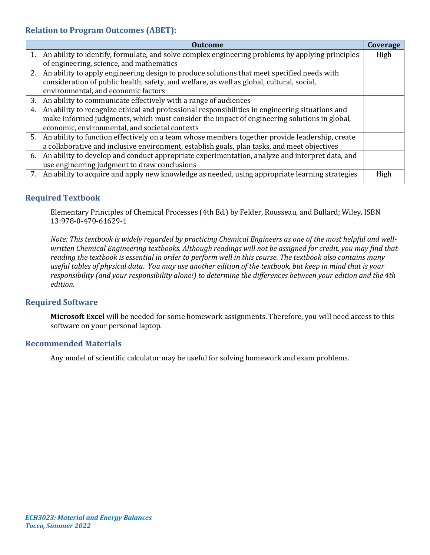# **Relation to Program Outcomes (ABET):**

|    | <b>Outcome</b>                                                                                      | Coverage |
|----|-----------------------------------------------------------------------------------------------------|----------|
|    | 1. An ability to identify, formulate, and solve complex engineering problems by applying principles | High     |
|    | of engineering, science, and mathematics                                                            |          |
|    | 2. An ability to apply engineering design to produce solutions that meet specified needs with       |          |
|    | consideration of public health, safety, and welfare, as well as global, cultural, social,           |          |
|    | environmental, and economic factors                                                                 |          |
| 3. | An ability to communicate effectively with a range of audiences                                     |          |
| 4. | An ability to recognize ethical and professional responsibilities in engineering situations and     |          |
|    | make informed judgments, which must consider the impact of engineering solutions in global,         |          |
|    | economic, environmental, and societal contexts                                                      |          |
|    | 5. An ability to function effectively on a team whose members together provide leadership, create   |          |
|    | a collaborative and inclusive environment, establish goals, plan tasks, and meet objectives         |          |
|    | 6. An ability to develop and conduct appropriate experimentation, analyze and interpret data, and   |          |
|    | use engineering judgment to draw conclusions                                                        |          |
|    | 7. An ability to acquire and apply new knowledge as needed, using appropriate learning strategies   | High     |
|    |                                                                                                     |          |

# **Required Textbook**

Elementary Principles of Chemical Processes (4th Ed.) by Felder, Rousseau, and Bullard; Wiley, ISBN 13:978-0-470-61629-1

*Note: This textbook is widely regarded by practicing Chemical Engineers as one of the most helpful and wellwritten Chemical Engineering textbooks. Although readings will not be assigned for credit, you may find that reading the textbook is essential in order to perform well in this course. The textbook also contains many useful tables of physical data. You may use another edition of the textbook, but keep in mind that is your responsibility (and your responsibility alone!) to determine the differences between your edition and the 4th edition.*

# **Required Software**

**Microsoft Excel** will be needed for some homework assignments. Therefore, you will need access to this software on your personal laptop.

# **Recommended Materials**

Any model of scientific calculator may be useful for solving homework and exam problems.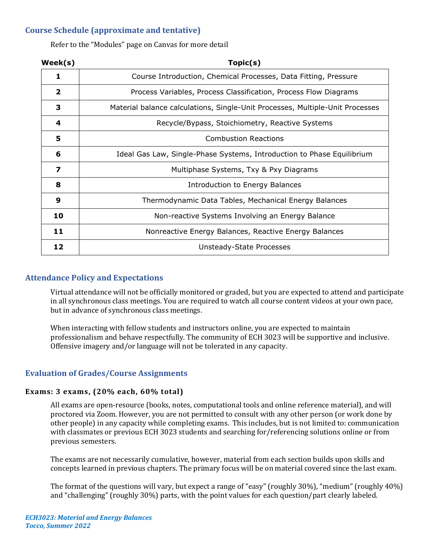# **Course Schedule (approximate and tentative)**

Refer to the "Modules" page on Canvas for more detail

| Week(s)      | Topic(s)                                                                      |  |  |
|--------------|-------------------------------------------------------------------------------|--|--|
| 1            | Course Introduction, Chemical Processes, Data Fitting, Pressure               |  |  |
| $\mathbf{2}$ | Process Variables, Process Classification, Process Flow Diagrams              |  |  |
| 3            | Material balance calculations, Single-Unit Processes, Multiple-Unit Processes |  |  |
| 4            | Recycle/Bypass, Stoichiometry, Reactive Systems                               |  |  |
| 5            | <b>Combustion Reactions</b>                                                   |  |  |
| 6            | Ideal Gas Law, Single-Phase Systems, Introduction to Phase Equilibrium        |  |  |
| 7            | Multiphase Systems, Txy & Pxy Diagrams                                        |  |  |
| 8            | Introduction to Energy Balances                                               |  |  |
| 9            | Thermodynamic Data Tables, Mechanical Energy Balances                         |  |  |
| 10           | Non-reactive Systems Involving an Energy Balance                              |  |  |
| 11           | Nonreactive Energy Balances, Reactive Energy Balances                         |  |  |
| 12           | Unsteady-State Processes                                                      |  |  |

# **Attendance Policy and Expectations**

Virtual attendance will not be officially monitored or graded, but you are expected to attend and participate in all synchronous class meetings. You are required to watch all course content videos at your own pace, but in advance of synchronous class meetings.

When interacting with fellow students and instructors online, you are expected to maintain professionalism and behave respectfully. The community of ECH 3023 will be supportive and inclusive. Offensive imagery and/or language will not be tolerated in any capacity.

# **Evaluation of Grades/Course Assignments**

# **Exams: 3 exams, (20% each, 60% total)**

All exams are open-resource (books, notes, computational tools and online reference material), and will proctored via Zoom. However, you are not permitted to consult with any other person (or work done by other people) in any capacity while completing exams. This includes, but is not limited to: communication with classmates or previous ECH 3023 students and searching for/referencing solutions online or from previous semesters.

The exams are not necessarily cumulative, however, material from each section builds upon skills and concepts learned in previous chapters. The primary focus will be on material covered since the last exam.

The format of the questions will vary, but expect a range of "easy" (roughly 30%), "medium" (roughly 40%) and "challenging" (roughly 30%) parts, with the point values for each question/part clearly labeled.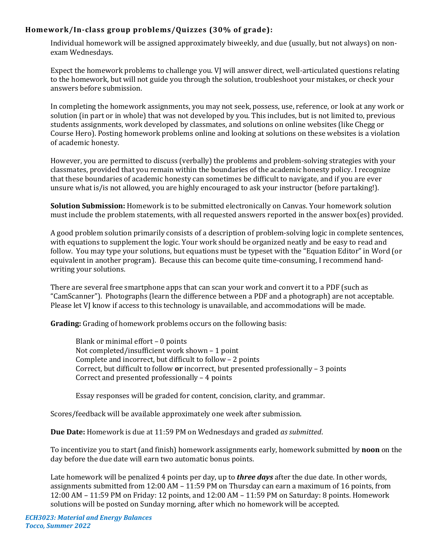# **Homework/In-class group problems/Quizzes (30% of grade):**

Individual homework will be assigned approximately biweekly, and due (usually, but not always) on nonexam Wednesdays.

Expect the homework problems to challenge you. VJ will answer direct, well-articulated questions relating to the homework, but will not guide you through the solution, troubleshoot your mistakes, or check your answers before submission.

In completing the homework assignments, you may not seek, possess, use, reference, or look at any work or solution (in part or in whole) that was not developed by you. This includes, but is not limited to, previous students assignments, work developed by classmates, and solutions on online websites (like Chegg or Course Hero). Posting homework problems online and looking at solutions on these websites is a violation of academic honesty.

However, you are permitted to discuss (verbally) the problems and problem-solving strategies with your classmates, provided that you remain within the boundaries of the academic honesty policy. I recognize that these boundaries of academic honesty can sometimes be difficult to navigate, and if you are ever unsure what is/is not allowed, you are highly encouraged to ask your instructor (before partaking!).

**Solution Submission:** Homework is to be submitted electronically on Canvas. Your homework solution must include the problem statements, with all requested answers reported in the answer box(es) provided.

A good problem solution primarily consists of a description of problem-solving logic in complete sentences, with equations to supplement the logic. Your work should be organized neatly and be easy to read and follow. You may type your solutions, but equations must be typeset with the "Equation Editor" in Word (or equivalent in another program). Because this can become quite time-consuming, I recommend handwriting your solutions.

There are several free smartphone apps that can scan your work and convert it to a PDF (such as "CamScanner"). Photographs (learn the difference between a PDF and a photograph) are not acceptable. Please let VJ know if access to this technology is unavailable, and accommodations will be made.

**Grading:** Grading of homework problems occurs on the following basis:

Blank or minimal effort – 0 points Not completed/insufficient work shown – 1 point Complete and incorrect, but difficult to follow – 2 points Correct, but difficult to follow **or** incorrect, but presented professionally – 3 points Correct and presented professionally – 4 points

Essay responses will be graded for content, concision, clarity, and grammar.

Scores/feedback will be available approximately one week after submission.

**Due Date:** Homework is due at 11:59 PM on Wednesdays and graded *as submitted*.

To incentivize you to start (and finish) homework assignments early, homework submitted by **noon** on the day before the due date will earn two automatic bonus points.

Late homework will be penalized 4 points per day, up to *three days* after the due date. In other words, assignments submitted from 12:00 AM – 11:59 PM on Thursday can earn a maximum of 16 points, from 12:00 AM – 11:59 PM on Friday: 12 points, and 12:00 AM – 11:59 PM on Saturday: 8 points. Homework solutions will be posted on Sunday morning, after which no homework will be accepted.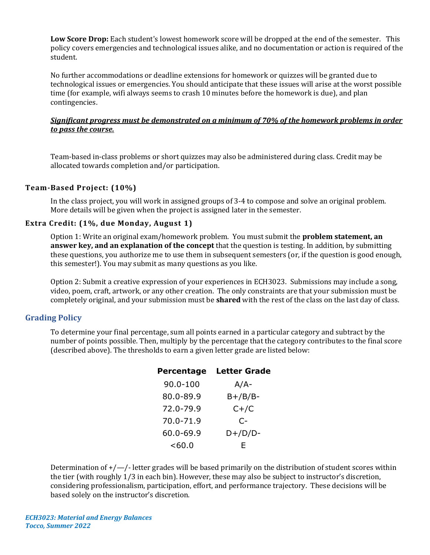**Low Score Drop:** Each student's lowest homework score will be dropped at the end of the semester. This policy covers emergencies and technological issues alike, and no documentation or action is required of the student.

No further accommodations or deadline extensions for homework or quizzes will be granted due to technological issues or emergencies. You should anticipate that these issues will arise at the worst possible time (for example, wifi always seems to crash 10 minutes before the homework is due), and plan contingencies.

### *Significant progress must be demonstrated on a minimum of 70% of the homework problems in order to pass the course.*

Team-based in-class problems or short quizzes may also be administered during class. Credit may be allocated towards completion and/or participation.

### **Team-Based Project: (10%)**

In the class project, you will work in assigned groups of 3-4 to compose and solve an original problem. More details will be given when the project is assigned later in the semester.

# **Extra Credit: (1%, due Monday, August 1)**

Option 1: Write an original exam/homework problem. You must submit the **problem statement, an answer key, and an explanation of the concept** that the question is testing. In addition, by submitting these questions, you authorize me to use them in subsequent semesters (or, if the question is good enough, this semester!). You may submit as many questions as you like.

Option 2: Submit a creative expression of your experiences in ECH3023. Submissions may include a song, video, poem, craft, artwork, or any other creation. The only constraints are that your submission must be completely original, and your submission must be **shared** with the rest of the class on the last day of class.

#### **Grading Policy**

To determine your final percentage, sum all points earned in a particular category and subtract by the number of points possible. Then, multiply by the percentage that the category contributes to the final score (described above). The thresholds to earn a given letter grade are listed below:

| Percentage | <b>Letter Grade</b> |  |
|------------|---------------------|--|
| 90.0-100   | $A/A-$              |  |
| 80.0-89.9  | $B+/B/B-$           |  |
| 72.0-79.9  | $C+ / C$            |  |
| 70.0-71.9  | C-                  |  |
| 60.0-69.9  | $D+/D/D-$           |  |
| $<$ 60.0   | F                   |  |

Determination of  $+$ / $-$ /-letter grades will be based primarily on the distribution of student scores within the tier (with roughly 1/3 in each bin). However, these may also be subject to instructor's discretion, considering professionalism, participation, effort, and performance trajectory. These decisions will be based solely on the instructor's discretion.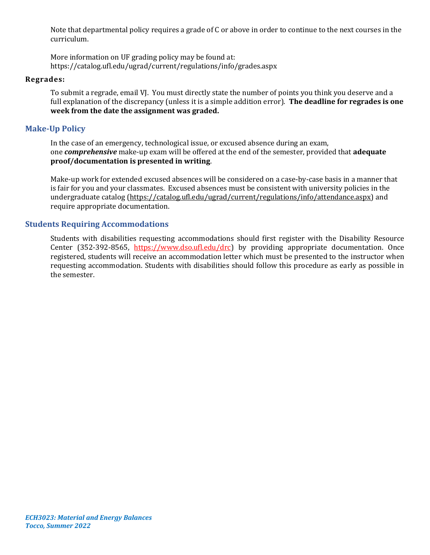Note that departmental policy requires a grade of C or above in order to continue to the next courses in the curriculum.

More information on UF grading policy may be found at: <https://catalog.ufl.edu/ugrad/current/regulations/info/grades.aspx>

#### **Regrades:**

To submit a regrade, email VJ. You must directly state the number of points you think you deserve and a full explanation of the discrepancy (unless it is a simple addition error). **The deadline for regrades is one week from the date the assignment was graded.**

# **Make-Up Policy**

In the case of an emergency, technological issue, or excused absence during an exam, one *comprehensive* make-up exam will be offered at the end of the semester, provided that **adequate proof/documentation is presented in writing**.

Make-up work for extended excused absences will be considered on a case-by-case basis in a manner that is fair for you and your classmates. Excused absences must be consistent with university policies in the undergraduate catalog [\(https://catalog.ufl.edu/ugrad/current/regulations/info/attendance.aspx\)](https://catalog.ufl.edu/ugrad/current/regulations/info/attendance.aspx) and require appropriate documentation.

# **Students Requiring Accommodations**

Students with disabilities requesting accommodations should first register with the Disability Resource Center (352-392-8565, https://www.dso.ufl.edu/drc) by providing appropriate documentation. Once registered, students will receive an accommodation letter which must be presented to the instructor when requesting accommodation. Students with disabilities should follow this procedure as early as possible in the semester.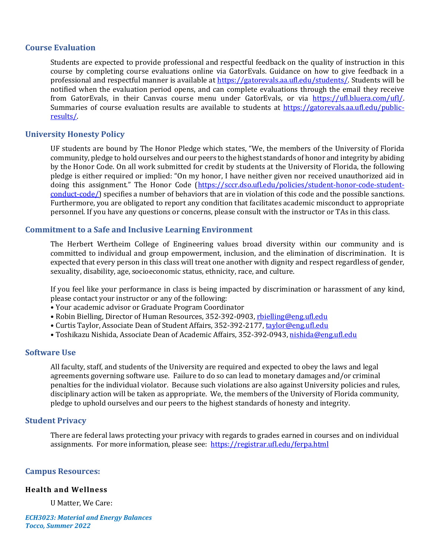# **Course Evaluation**

Students are expected to provide professional and respectful feedback on the quality of instruction in this course by completing course evaluations online via GatorEvals. Guidance on how to give feedback in a professional and respectful manner is available at [https://gatorevals.aa.ufl.edu/students/.](https://gatorevals.aa.ufl.edu/students/) Students will be notified when the evaluation period opens, and can complete evaluations through the email they receive from GatorEvals, in their Canvas course menu under GatorEvals, or via [https://ufl.bluera.com/ufl/.](https://ufl.bluera.com/ufl/) Summaries of course evaluation results are available to students at [https://gatorevals.aa.ufl.edu/public](https://gatorevals.aa.ufl.edu/public-results/)[results/.](https://gatorevals.aa.ufl.edu/public-results/)

### **University Honesty Policy**

UF students are bound by The Honor Pledge which states, "We, the members of the University of Florida community, pledge to hold ourselves and our peers to the highest standards of honor and integrity by abiding by the Honor Code. On all work submitted for credit by students at the University of Florida, the following pledge is either required or implied: "On my honor, I have neither given nor received unauthorized aid in doing this assignment." The Honor Code ([https://sccr.dso.ufl.edu/policies/student-honor-code-student](https://sccr.dso.ufl.edu/policies/student-honor-code-student-conduct-code/)[conduct-code/\)](https://sccr.dso.ufl.edu/policies/student-honor-code-student-conduct-code/) specifies a number of behaviors that are in violation of this code and the possible sanctions. Furthermore, you are obligated to report any condition that facilitates academic misconduct to appropriate personnel. If you have any questions or concerns, please consult with the instructor or TAs in this class.

### **Commitment to a Safe and Inclusive Learning Environment**

The Herbert Wertheim College of Engineering values broad diversity within our community and is committed to individual and group empowerment, inclusion, and the elimination of discrimination. It is expected that every person in this class will treat one another with dignity and respect regardless of gender, sexuality, disability, age, socioeconomic status, ethnicity, race, and culture.

If you feel like your performance in class is being impacted by discrimination or harassment of any kind, please contact your instructor or any of the following:

- Your academic advisor or Graduate Program Coordinator
- Robin Bielling, Director of Human Resources, 352-392-0903, [rbielling@eng.ufl.edu](mailto:rbielling@eng.ufl.edu)
- Curtis Taylor, Associate Dean of Student Affairs, 352-392-2177[, taylor@eng.ufl.edu](mailto:taylor@eng.ufl.edu)
- Toshikazu Nishida, Associate Dean of Academic Affairs, 352-392-0943[, nishida@eng.ufl.edu](mailto:nishida@eng.ufl.edu)

#### **Software Use**

All faculty, staff, and students of the University are required and expected to obey the laws and legal agreements governing software use. Failure to do so can lead to monetary damages and/or criminal penalties for the individual violator. Because such violations are also against University policies and rules, disciplinary action will be taken as appropriate. We, the members of the University of Florida community, pledge to uphold ourselves and our peers to the highest standards of honesty and integrity.

#### **Student Privacy**

There are federal laws protecting your privacy with regards to grades earned in courses and on individual assignments. For more information, please see: <https://registrar.ufl.edu/ferpa.html>

#### **Campus Resources:**

#### **Health and Wellness**

U Matter, We Care:

*ECH3023: Material and Energy Balances Tocco, Summer 2022*